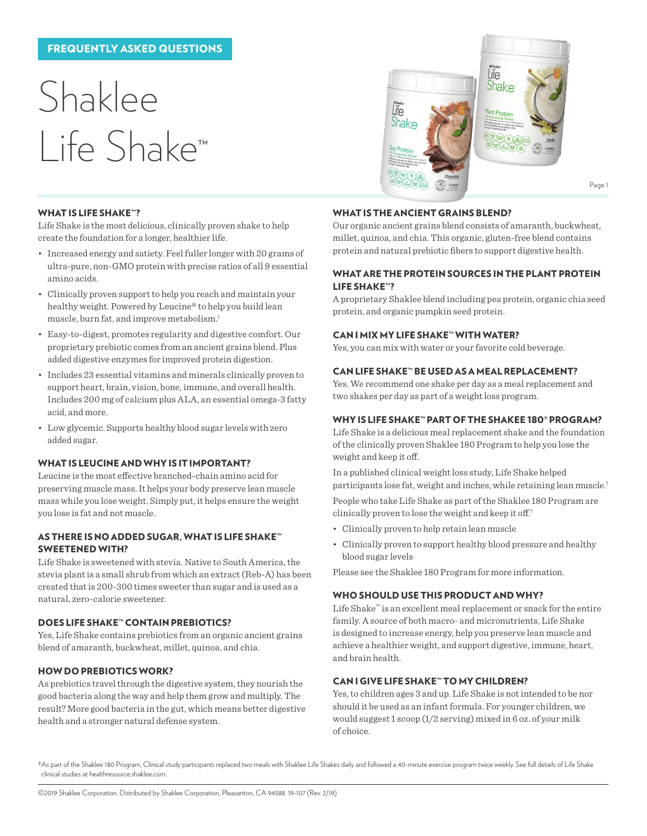## FREQUENTLY ASKED QUESTIONS

# Shaklee Life Shake™



## WHAT IS LIFE SHAKE™?

Life Shake is the most delicious, clinically proven shake to help create the foundation for a longer, healthier life.

- Increased energy and satiety. Feel fuller longer with 20 grams of ultra-pure, non-GMO protein with precise ratios of all 9 essential amino acids.
- Clinically proven support to help you reach and maintain your healthy weight. Powered by Leucine® to help you build lean muscle, burn fat, and improve metabolism.†
- Easy-to-digest, promotes regularity and digestive comfort. Our proprietary prebiotic comes from an ancient grains blend. Plus added digestive enzymes for improved protein digestion.
- Includes 23 essential vitamins and minerals clinically proven to support heart, brain, vision, bone, immune, and overall health. Includes 200 mg of calcium plus ALA, an essential omega-3 fatty acid, and more.
- Low glycemic. Supports healthy blood sugar levels with zero added sugar.

## WHAT IS LEUCINE AND WHY IS IT IMPORTANT?

Leucine is the most effective branched-chain amino acid for preserving muscle mass. It helps your body preserve lean muscle mass while you lose weight. Simply put, it helps ensure the weight you lose is fat and not muscle.

#### AS THERE IS NO ADDED SUGAR, WHAT IS LIFE SHAKE™ SWEETENED WITH?

Life Shake is sweetened with stevia. Native to South America, the stevia plant is a small shrub from which an extract (Reb-A) has been created that is 200-300 times sweeter than sugar and is used as a natural, zero-calorie sweetener.

## DOES LIFE SHAKE™ CONTAIN PREBIOTICS?

Yes, Life Shake contains prebiotics from an organic ancient grains blend of amaranth, buckwheat, millet, quinoa, and chia.

## HOW DO PREBIOTICS WORK?

As prebiotics travel through the digestive system, they nourish the good bacteria along the way and help them grow and multiply. The result? More good bacteria in the gut, which means better digestive health and a stronger natural defense system.

## WHAT IS THE ANCIENT GRAINS BLEND?

Our organic ancient grains blend consists of amaranth, buckwheat, millet, quinoa, and chia. This organic, gluten-free blend contains protein and natural prebiotic fibers to support digestive health.

#### WHAT ARE THE PROTEIN SOURCES IN THE PLANT PROTEIN LIFE SHAKE™?

A proprietary Shaklee blend including pea protein, organic chia seed protein, and organic pumpkin seed protein.

#### CAN I MIX MY LIFE SHAKE™ WITH WATER?

Yes, you can mix with water or your favorite cold beverage.

## CAN LIFE SHAKE™ BE USED AS A MEAL REPLACEMENT?

Yes. We recommend one shake per day as a meal replacement and two shakes per day as part of a weight loss program.

## WHY IS LIFE SHAKE™ PART OF THE SHAKEE 180® PROGRAM?

Life Shake is a delicious meal replacement shake and the foundation of the clinically proven Shaklee 180 Program to help you lose the weight and keep it off.

In a published clinical weight loss study, Life Shake helped participants lose fat, weight and inches, while retaining lean muscle.†

People who take Life Shake as part of the Shaklee 180 Program are clinically proven to lose the weight and keep it off.†

- Clinically proven to help retain lean muscle
- Clinically proven to support healthy blood pressure and healthy blood sugar levels

Please see the Shaklee 180 Program for more information.

## WHO SHOULD USE THIS PRODUCT AND WHY?

Life Shake™ is an excellent meal replacement or snack for the entire family. A source of both macro- and micronutrients, Life Shake is designed to increase energy, help you preserve lean muscle and achieve a healthier weight, and support digestive, immune, heart, and brain health.

# CAN I GIVE LIFE SHAKE™ TO MY CHILDREN?

Yes, to children ages 3 and up. Life Shake is not intended to be nor should it be used as an infant formula. For younger children, we would suggest 1 scoop (1/2 serving) mixed in 6 oz. of your milk of choice.

†As part of the Shaklee 180 Program. Clinical study participants replaced two meals with Shaklee Life Shakes daily and followed a 40-minute exercise program twice weekly. See full details of Life Shake clinical studies at healthresource.shaklee.com.